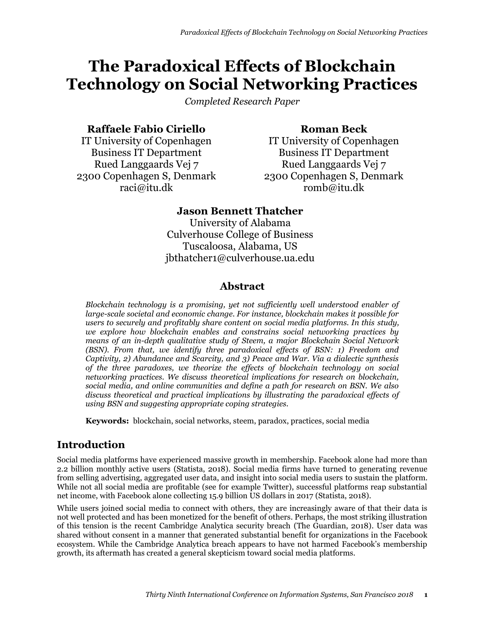# **The Paradoxical Effects of Blockchain Technology on Social Networking Practices**

*Completed Research Paper*

# **Raffaele Fabio Ciriello**

IT University of Copenhagen Business IT Department Rued Langgaards Vej 7 2300 Copenhagen S, Denmark raci@itu.dk

# **Roman Beck**

IT University of Copenhagen Business IT Department Rued Langgaards Vej 7 2300 Copenhagen S, Denmark romb@itu.dk

## **Jason Bennett Thatcher**

University of Alabama Culverhouse College of Business Tuscaloosa, Alabama, US jbthatcher1@culverhouse.ua.edu

## **Abstract**

*Blockchain technology is a promising, yet not sufficiently well understood enabler of large-scale societal and economic change. For instance, blockchain makes it possible for users to securely and profitably share content on social media platforms. In this study, we explore how blockchain enables and constrains social networking practices by means of an in-depth qualitative study of Steem, a major Blockchain Social Network (BSN). From that, we identify three paradoxical effects of BSN: 1) Freedom and Captivity, 2) Abundance and Scarcity, and 3) Peace and War. Via a dialectic synthesis of the three paradoxes, we theorize the effects of blockchain technology on social networking practices. We discuss theoretical implications for research on blockchain, social media, and online communities and define a path for research on BSN. We also discuss theoretical and practical implications by illustrating the paradoxical effects of using BSN and suggesting appropriate coping strategies.*

**Keywords:** blockchain, social networks, steem, paradox, practices, social media

## **Introduction**

Social media platforms have experienced massive growth in membership. Facebook alone had more than 2.2 billion monthly active users (Statista, 2018). Social media firms have turned to generating revenue from selling advertising, aggregated user data, and insight into social media users to sustain the platform. While not all social media are profitable (see for example Twitter), successful platforms reap substantial net income, with Facebook alone collecting 15.9 billion US dollars in 2017 (Statista, 2018).

While users joined social media to connect with others, they are increasingly aware of that their data is not well protected and has been monetized for the benefit of others. Perhaps, the most striking illustration of this tension is the recent Cambridge Analytica security breach (The Guardian, 2018). User data was shared without consent in a manner that generated substantial benefit for organizations in the Facebook ecosystem. While the Cambridge Analytica breach appears to have not harmed Facebook's membership growth, its aftermath has created a general skepticism toward social media platforms.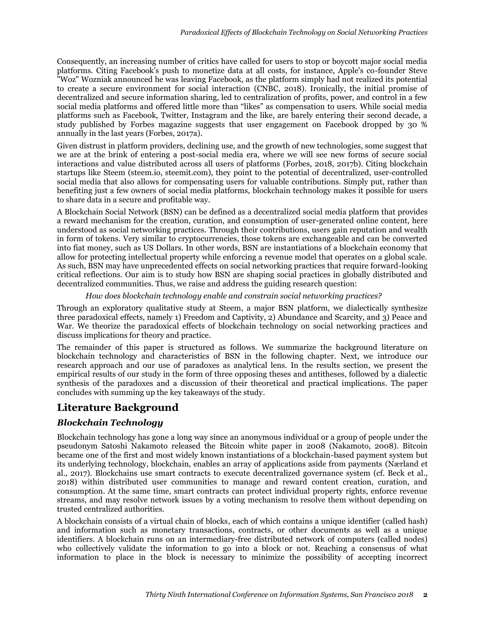Consequently, an increasing number of critics have called for users to stop or boycott major social media platforms. Citing Facebook's push to monetize data at all costs, for instance, Apple's co-founder Steve "Woz" Wozniak announced he was leaving Facebook, as the platform simply had not realized its potential to create a secure environment for social interaction (CNBC, 2018). Ironically, the initial promise of decentralized and secure information sharing, led to centralization of profits, power, and control in a few social media platforms and offered little more than "likes" as compensation to users. While social media platforms such as Facebook, Twitter, Instagram and the like, are barely entering their second decade, a study published by Forbes magazine suggests that user engagement on Facebook dropped by 30 % annually in the last years (Forbes, 2017a).

Given distrust in platform providers, declining use, and the growth of new technologies, some suggest that we are at the brink of entering a post-social media era, where we will see new forms of secure social interactions and value distributed across all users of platforms (Forbes, 2018, 2017b). Citing blockchain startups like Steem (steem.io, steemit.com), they point to the potential of decentralized, user-controlled social media that also allows for compensating users for valuable contributions. Simply put, rather than benefiting just a few owners of social media platforms, blockchain technology makes it possible for users to share data in a secure and profitable way.

A Blockchain Social Network (BSN) can be defined as a decentralized social media platform that provides a reward mechanism for the creation, curation, and consumption of user-generated online content, here understood as social networking practices. Through their contributions, users gain reputation and wealth in form of tokens. Very similar to cryptocurrencies, those tokens are exchangeable and can be converted into fiat money, such as US Dollars. In other words, BSN are instantiations of a blockchain economy that allow for protecting intellectual property while enforcing a revenue model that operates on a global scale. As such, BSN may have unprecedented effects on social networking practices that require forward-looking critical reflections. Our aim is to study how BSN are shaping social practices in globally distributed and decentralized communities. Thus, we raise and address the guiding research question:

*How does blockchain technology enable and constrain social networking practices?*

Through an exploratory qualitative study at Steem, a major BSN platform, we dialectically synthesize three paradoxical effects, namely 1) Freedom and Captivity, 2) Abundance and Scarcity, and 3) Peace and War. We theorize the paradoxical effects of blockchain technology on social networking practices and discuss implications for theory and practice.

The remainder of this paper is structured as follows. We summarize the background literature on blockchain technology and characteristics of BSN in the following chapter. Next, we introduce our research approach and our use of paradoxes as analytical lens. In the results section, we present the empirical results of our study in the form of three opposing theses and antitheses, followed by a dialectic synthesis of the paradoxes and a discussion of their theoretical and practical implications. The paper concludes with summing up the key takeaways of the study.

# **Literature Background**

## *Blockchain Technology*

Blockchain technology has gone a long way since an anonymous individual or a group of people under the pseudonym Satoshi Nakamoto released the Bitcoin white paper in 2008 (Nakamoto, 2008). Bitcoin became one of the first and most widely known instantiations of a blockchain-based payment system but its underlying technology, blockchain, enables an array of applications aside from payments (Nærland et al., 2017). Blockchains use smart contracts to execute decentralized governance system (cf. Beck et al., 2018) within distributed user communities to manage and reward content creation, curation, and consumption. At the same time, smart contracts can protect individual property rights, enforce revenue streams, and may resolve network issues by a voting mechanism to resolve them without depending on trusted centralized authorities.

A blockchain consists of a virtual chain of blocks, each of which contains a unique identifier (called hash) and information such as monetary transactions, contracts, or other documents as well as a unique identifiers. A blockchain runs on an intermediary-free distributed network of computers (called nodes) who collectively validate the information to go into a block or not. Reaching a consensus of what information to place in the block is necessary to minimize the possibility of accepting incorrect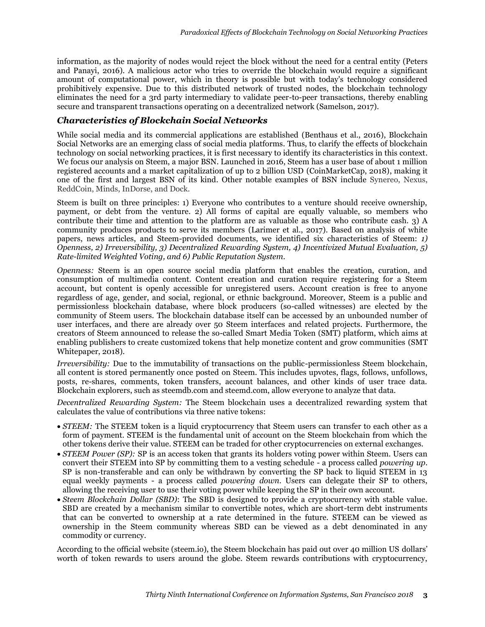information, as the majority of nodes would reject the block without the need for a central entity (Peters and Panayi, 2016). A malicious actor who tries to override the blockchain would require a significant amount of computational power, which in theory is possible but with today's technology considered prohibitively expensive. Due to this distributed network of trusted nodes, the blockchain technology eliminates the need for a 3rd party intermediary to validate peer-to-peer transactions, thereby enabling secure and transparent transactions operating on a decentralized network (Samelson, 2017).

#### *Characteristics of Blockchain Social Networks*

While social media and its commercial applications are established (Benthaus et al., 2016), Blockchain Social Networks are an emerging class of social media platforms. Thus, to clarify the effects of blockchain technology on social networking practices, it is first necessary to identify its characteristics in this context. We focus our analysis on Steem, a major BSN. Launched in 2016, Steem has a user base of about 1 million registered accounts and a market capitalization of up to 2 billion USD (CoinMarketCap, 2018), making it one of the first and largest BSN of its kind. Other notable examples of BSN include Synereo, Nexus, ReddCoin, Minds, InDorse, and Dock.

Steem is built on three principles: 1) Everyone who contributes to a venture should receive ownership, payment, or debt from the venture. 2) All forms of capital are equally valuable, so members who contribute their time and attention to the platform are as valuable as those who contribute cash. 3) A community produces products to serve its members (Larimer et al., 2017). Based on analysis of white papers, news articles, and Steem-provided documents, we identified six characteristics of Steem: *1) Openness, 2) Irreversibility, 3) Decentralized Rewarding System, 4) Incentivized Mutual Evaluation, 5) Rate-limited Weighted Voting, and 6) Public Reputation System.*

*Openness:* Steem is an open source social media platform that enables the creation, curation, and consumption of multimedia content. Content creation and curation require registering for a Steem account, but content is openly accessible for unregistered users. Account creation is free to anyone regardless of age, gender, and social, regional, or ethnic background. Moreover, Steem is a public and permissionless blockchain database, where block producers (so-called witnesses) are elected by the community of Steem users. The blockchain database itself can be accessed by an unbounded number of user interfaces, and there are already over 50 Steem interfaces and related projects. Furthermore, the creators of Steem announced to release the so-called Smart Media Token (SMT) platform, which aims at enabling publishers to create customized tokens that help monetize content and grow communities (SMT Whitepaper, 2018).

*Irreversibility:* Due to the immutability of transactions on the public-permissionless Steem blockchain, all content is stored permanently once posted on Steem. This includes upvotes, flags, follows, unfollows, posts, re-shares, comments, token transfers, account balances, and other kinds of user trace data. Blockchain explorers, such as steemdb.com and steemd.com, allow everyone to analyze that data.

*Decentralized Rewarding System:* The Steem blockchain uses a decentralized rewarding system that calculates the value of contributions via three native tokens:

- *STEEM:* The STEEM token is a liquid cryptocurrency that Steem users can transfer to each other as a form of payment. STEEM is the fundamental unit of account on the Steem blockchain from which the other tokens derive their value. STEEM can be traded for other cryptocurrencies on external exchanges.
- *STEEM Power (SP):* SP is an access token that grants its holders voting power within Steem. Users can convert their STEEM into SP by committing them to a vesting schedule - a process called *powering up*. SP is non-transferable and can only be withdrawn by converting the SP back to liquid STEEM in 13 equal weekly payments - a process called *powering down*. Users can delegate their SP to others, allowing the receiving user to use their voting power while keeping the SP in their own account.
- *Steem Blockchain Dollar (SBD)*: The SBD is designed to provide a cryptocurrency with stable value. SBD are created by a mechanism similar to convertible notes, which are short-term debt instruments that can be converted to ownership at a rate determined in the future. STEEM can be viewed as ownership in the Steem community whereas SBD can be viewed as a debt denominated in any commodity or currency.

According to the official website (steem.io), the Steem blockchain has paid out over 40 million US dollars' worth of token rewards to users around the globe. Steem rewards contributions with cryptocurrency,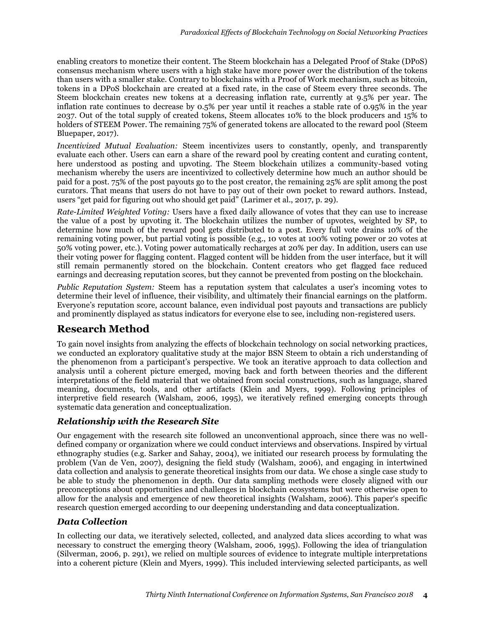enabling creators to monetize their content. The Steem blockchain has a Delegated Proof of Stake (DPoS) consensus mechanism where users with a high stake have more power over the distribution of the tokens than users with a smaller stake. Contrary to blockchains with a Proof of Work mechanism, such as bitcoin, tokens in a DPoS blockchain are created at a fixed rate, in the case of Steem every three seconds. The Steem blockchain creates new tokens at a decreasing inflation rate, currently at 9.5% per year. The inflation rate continues to decrease by 0.5% per year until it reaches a stable rate of 0.95% in the year 2037. Out of the total supply of created tokens, Steem allocates 10% to the block producers and 15% to holders of STEEM Power. The remaining 75% of generated tokens are allocated to the reward pool (Steem Bluepaper, 2017).

*Incentivized Mutual Evaluation:* Steem incentivizes users to constantly, openly, and transparently evaluate each other. Users can earn a share of the reward pool by creating content and curating content, here understood as posting and upvoting. The Steem blockchain utilizes a community-based voting mechanism whereby the users are incentivized to collectively determine how much an author should be paid for a post. 75% of the post payouts go to the post creator, the remaining 25% are split among the post curators. That means that users do not have to pay out of their own pocket to reward authors. Instead, users "get paid for figuring out who should get paid" (Larimer et al., 2017, p. 29).

*Rate-Limited Weighted Voting:* Users have a fixed daily allowance of votes that they can use to increase the value of a post by upvoting it. The blockchain utilizes the number of upvotes, weighted by SP, to determine how much of the reward pool gets distributed to a post. Every full vote drains 10% of the remaining voting power, but partial voting is possible (e.g., 10 votes at 100% voting power or 20 votes at 50% voting power, etc.). Voting power automatically recharges at 20% per day. In addition, users can use their voting power for flagging content. Flagged content will be hidden from the user interface, but it will still remain permanently stored on the blockchain. Content creators who get flagged face reduced earnings and decreasing reputation scores, but they cannot be prevented from posting on the blockchain.

*Public Reputation System:* Steem has a reputation system that calculates a user's incoming votes to determine their level of influence, their visibility, and ultimately their financial earnings on the platform. Everyone's reputation score, account balance, even individual post payouts and transactions are publicly and prominently displayed as status indicators for everyone else to see, including non-registered users.

# **Research Method**

To gain novel insights from analyzing the effects of blockchain technology on social networking practices, we conducted an exploratory qualitative study at the major BSN Steem to obtain a rich understanding of the phenomenon from a participant's perspective. We took an iterative approach to data collection and analysis until a coherent picture emerged, moving back and forth between theories and the different interpretations of the field material that we obtained from social constructions, such as language, shared meaning, documents, tools, and other artifacts (Klein and Myers, 1999). Following principles of interpretive field research (Walsham, 2006, 1995), we iteratively refined emerging concepts through systematic data generation and conceptualization.

## *Relationship with the Research Site*

Our engagement with the research site followed an unconventional approach, since there was no welldefined company or organization where we could conduct interviews and observations. Inspired by virtual ethnography studies (e.g. Sarker and Sahay, 2004), we initiated our research process by formulating the problem (Van de Ven, 2007), designing the field study (Walsham, 2006), and engaging in intertwined data collection and analysis to generate theoretical insights from our data. We chose a single case study to be able to study the phenomenon in depth. Our data sampling methods were closely aligned with our preconceptions about opportunities and challenges in blockchain ecosystems but were otherwise open to allow for the analysis and emergence of new theoretical insights (Walsham, 2006). This paper's specific research question emerged according to our deepening understanding and data conceptualization.

#### *Data Collection*

In collecting our data, we iteratively selected, collected, and analyzed data slices according to what was necessary to construct the emerging theory (Walsham, 2006, 1995). Following the idea of triangulation (Silverman, 2006, p. 291), we relied on multiple sources of evidence to integrate multiple interpretations into a coherent picture (Klein and Myers, 1999). This included interviewing selected participants, as well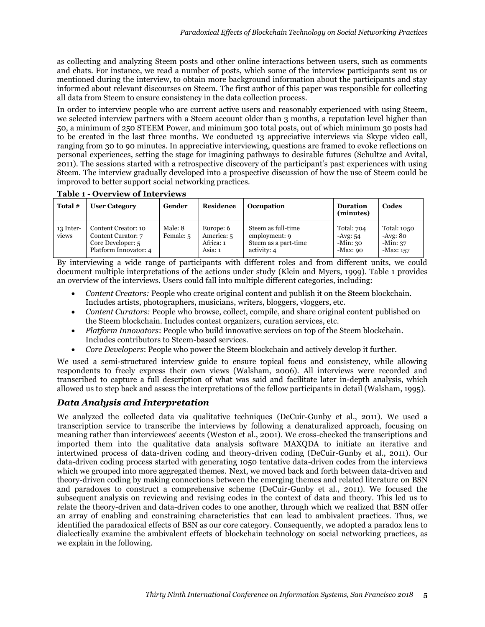as collecting and analyzing Steem posts and other online interactions between users, such as comments and chats. For instance, we read a number of posts, which some of the interview participants sent us or mentioned during the interview, to obtain more background information about the participants and stay informed about relevant discourses on Steem. The first author of this paper was responsible for collecting all data from Steem to ensure consistency in the data collection process.

In order to interview people who are current active users and reasonably experienced with using Steem, we selected interview partners with a Steem account older than 3 months, a reputation level higher than 50, a minimum of 250 STEEM Power, and minimum 300 total posts, out of which minimum 30 posts had to be created in the last three months. We conducted 13 appreciative interviews via Skype video call, ranging from 30 to 90 minutes. In appreciative interviewing, questions are framed to evoke reflections on personal experiences, setting the stage for imagining pathways to desirable futures (Schultze and Avital, 2011). The sessions started with a retrospective discovery of the participant's past experiences with using Steem. The interview gradually developed into a prospective discussion of how the use of Steem could be improved to better support social networking practices.

| Total #            | <b>User Category</b>                                                                    | Gender               | <b>Residence</b>                                | <b>Occupation</b>                                                          | <b>Duration</b><br>(minutes)                            | Codes                                              |
|--------------------|-----------------------------------------------------------------------------------------|----------------------|-------------------------------------------------|----------------------------------------------------------------------------|---------------------------------------------------------|----------------------------------------------------|
| 13 Inter-<br>views | Content Creator: 10<br>Content Curator: 7<br>Core Developer: 5<br>Platform Innovator: 4 | Male: 8<br>Female: 5 | Europe: 6<br>America: 5<br>Africa: 1<br>Asia: 1 | Steem as full-time<br>employment: 9<br>Steem as a part-time<br>activity: 4 | <b>Total: 704</b><br>$-Avg: 54$<br>-Min: 30<br>-Max: 90 | Total: 1050<br>$-Avg: 80$<br>-Min: 37<br>-Max: 157 |

**Table 1 - Overview of Interviews**

By interviewing a wide range of participants with different roles and from different units, we could document multiple interpretations of the actions under study (Klein and Myers, 1999). Table 1 provides an overview of the interviews. Users could fall into multiple different categories, including:

- *Content Creators:* People who create original content and publish it on the Steem blockchain. Includes artists, photographers, musicians, writers, bloggers, vloggers, etc.
- *Content Curators:* People who browse, collect, compile, and share original content published on the Steem blockchain. Includes contest organizers, curation services, etc.
- *Platform Innovators*: People who build innovative services on top of the Steem blockchain. Includes contributors to Steem-based services.
- *Core Developers*: People who power the Steem blockchain and actively develop it further.

We used a semi-structured interview guide to ensure topical focus and consistency, while allowing respondents to freely express their own views (Walsham, 2006). All interviews were recorded and transcribed to capture a full description of what was said and facilitate later in-depth analysis, which allowed us to step back and assess the interpretations of the fellow participants in detail (Walsham, 1995).

#### *Data Analysis and Interpretation*

We analyzed the collected data via qualitative techniques (DeCuir-Gunby et al., 2011). We used a transcription service to transcribe the interviews by following a denaturalized approach, focusing on meaning rather than interviewees' accents (Weston et al., 2001). We cross-checked the transcriptions and imported them into the qualitative data analysis software MAXQDA to initiate an iterative and intertwined process of data-driven coding and theory-driven coding (DeCuir-Gunby et al., 2011). Our data-driven coding process started with generating 1050 tentative data-driven codes from the interviews which we grouped into more aggregated themes. Next, we moved back and forth between data-driven and theory-driven coding by making connections between the emerging themes and related literature on BSN and paradoxes to construct a comprehensive scheme (DeCuir-Gunby et al., 2011). We focused the subsequent analysis on reviewing and revising codes in the context of data and theory. This led us to relate the theory-driven and data-driven codes to one another, through which we realized that BSN offer an array of enabling and constraining characteristics that can lead to ambivalent practices. Thus, we identified the paradoxical effects of BSN as our core category. Consequently, we adopted a paradox lens to dialectically examine the ambivalent effects of blockchain technology on social networking practices, as we explain in the following.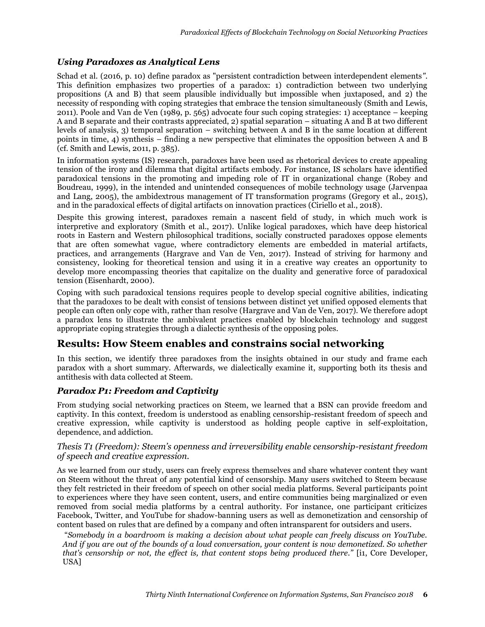#### *Using Paradoxes as Analytical Lens*

Schad et al. (2016, p. 10) define paradox as "persistent contradiction between interdependent elements*"*. This definition emphasizes two properties of a paradox: 1) contradiction between two underlying propositions (A and B) that seem plausible individually but impossible when juxtaposed, and 2) the necessity of responding with coping strategies that embrace the tension simultaneously (Smith and Lewis, 2011). Poole and Van de Ven (1989, p. 565) advocate four such coping strategies: 1) acceptance – keeping A and B separate and their contrasts appreciated, 2) spatial separation – situating A and B at two different levels of analysis, 3) temporal separation – switching between A and B in the same location at different points in time, 4) synthesis – finding a new perspective that eliminates the opposition between A and B (cf. Smith and Lewis, 2011, p. 385).

In information systems (IS) research, paradoxes have been used as rhetorical devices to create appealing tension of the irony and dilemma that digital artifacts embody. For instance, IS scholars have identified paradoxical tensions in the promoting and impeding role of IT in organizational change (Robey and Boudreau, 1999), in the intended and unintended consequences of mobile technology usage (Jarvenpaa and Lang, 2005), the ambidextrous management of IT transformation programs (Gregory et al., 2015), and in the paradoxical effects of digital artifacts on innovation practices (Ciriello et al., 2018).

Despite this growing interest, paradoxes remain a nascent field of study, in which much work is interpretive and exploratory (Smith et al., 2017). Unlike logical paradoxes, which have deep historical roots in Eastern and Western philosophical traditions, socially constructed paradoxes oppose elements that are often somewhat vague, where contradictory elements are embedded in material artifacts, practices, and arrangements (Hargrave and Van de Ven, 2017). Instead of striving for harmony and consistency, looking for theoretical tension and using it in a creative way creates an opportunity to develop more encompassing theories that capitalize on the duality and generative force of paradoxical tension (Eisenhardt, 2000).

Coping with such paradoxical tensions requires people to develop special cognitive abilities, indicating that the paradoxes to be dealt with consist of tensions between distinct yet unified opposed elements that people can often only cope with, rather than resolve (Hargrave and Van de Ven, 2017). We therefore adopt a paradox lens to illustrate the ambivalent practices enabled by blockchain technology and suggest appropriate coping strategies through a dialectic synthesis of the opposing poles.

## **Results: How Steem enables and constrains social networking**

In this section, we identify three paradoxes from the insights obtained in our study and frame each paradox with a short summary. Afterwards, we dialectically examine it, supporting both its thesis and antithesis with data collected at Steem.

#### *Paradox P1: Freedom and Captivity*

From studying social networking practices on Steem, we learned that a BSN can provide freedom and captivity. In this context, freedom is understood as enabling censorship-resistant freedom of speech and creative expression, while captivity is understood as holding people captive in self-exploitation, dependence, and addiction.

#### *Thesis T1 (Freedom): Steem's openness and irreversibility enable censorship-resistant freedom of speech and creative expression.*

As we learned from our study, users can freely express themselves and share whatever content they want on Steem without the threat of any potential kind of censorship. Many users switched to Steem because they felt restricted in their freedom of speech on other social media platforms. Several participants point to experiences where they have seen content, users, and entire communities being marginalized or even removed from social media platforms by a central authority. For instance, one participant criticizes Facebook, Twitter, and YouTube for shadow-banning users as well as demonetization and censorship of content based on rules that are defined by a company and often intransparent for outsiders and users.

"*Somebody in a boardroom is making a decision about what people can freely discuss on YouTube. And if you are out of the bounds of a loud conversation, your content is now demonetized. So whether that's censorship or not, the effect is, that content stops being produced there."* [i1, Core Developer, USA]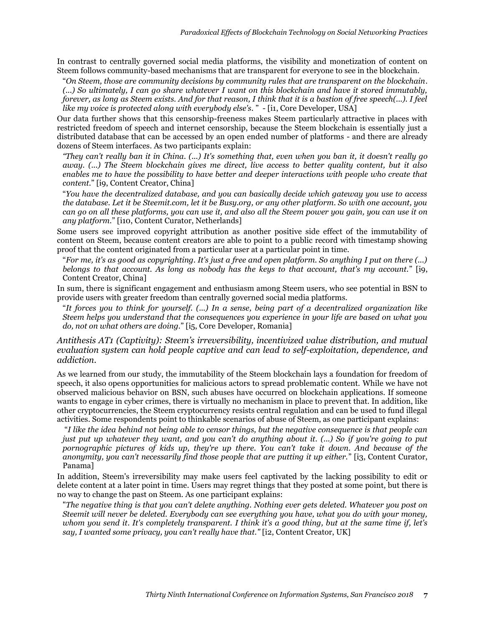In contrast to centrally governed social media platforms, the visibility and monetization of content on Steem follows community-based mechanisms that are transparent for everyone to see in the blockchain.

"*On Steem, those are community decisions by community rules that are transparent on the blockchain. (...) So ultimately, I can go share whatever I want on this blockchain and have it stored immutably, forever, as long as Steem exists. And for that reason, I think that it is a bastion of free speech(...). I feel like my voice is protected along with everybody else's.* " - [i1, Core Developer, USA]

Our data further shows that this censorship-freeness makes Steem particularly attractive in places with restricted freedom of speech and internet censorship, because the Steem blockchain is essentially just a distributed database that can be accessed by an open ended number of platforms - and there are already dozens of Steem interfaces. As two participants explain:

*"They can't really ban it in China. (...) It's something that, even when you ban it, it doesn't really go away. (...) The Steem blockchain gives me direct, live access to better quality content, but it also enables me to have the possibility to have better and deeper interactions with people who create that content.*" [i9, Content Creator, China]

"*You have the decentralized database, and you can basically decide which gateway you use to access the database. Let it be Steemit.com, let it be Busy.org, or any other platform. So with one account, you can go on all these platforms, you can use it, and also all the Steem power you gain, you can use it on any platform.*" [i10, Content Curator, Netherlands]

Some users see improved copyright attribution as another positive side effect of the immutability of content on Steem, because content creators are able to point to a public record with timestamp showing proof that the content originated from a particular user at a particular point in time.

"*For me, it's as good as copyrighting. It's just a free and open platform. So anything I put on there (...) belongs to that account. As long as nobody has the keys to that account, that's my account.*" [i9, Content Creator, China]

In sum, there is significant engagement and enthusiasm among Steem users, who see potential in BSN to provide users with greater freedom than centrally governed social media platforms.

"*It forces you to think for yourself. (...) In a sense, being part of a decentralized organization like Steem helps you understand that the consequences you experience in your life are based on what you do, not on what others are doing.*" [i5, Core Developer, Romania]

*Antithesis AT1 (Captivity): Steem's irreversibility, incentivized value distribution, and mutual evaluation system can hold people captive and can lead to self-exploitation, dependence, and addiction.*

As we learned from our study, the immutability of the Steem blockchain lays a foundation for freedom of speech, it also opens opportunities for malicious actors to spread problematic content. While we have not observed malicious behavior on BSN, such abuses have occurred on blockchain applications. If someone wants to engage in cyber crimes, there is virtually no mechanism in place to prevent that. In addition, like other cryptocurrencies, the Steem cryptocurrency resists central regulation and can be used to fund illegal activities. Some respondents point to thinkable scenarios of abuse of Steem, as one participant explains:

"*I like the idea behind not being able to censor things, but the negative consequence is that people can just put up whatever they want, and you can't do anything about it. (...) So if you're going to put pornographic pictures of kids up, they're up there. You can't take it down. And because of the anonymity, you can't necessarily find those people that are putting it up either.*" [i3, Content Curator, Panama]

In addition, Steem's irreversibility may make users feel captivated by the lacking possibility to edit or delete content at a later point in time. Users may regret things that they posted at some point, but there is no way to change the past on Steem. As one participant explains:

"*The negative thing is that you can't delete anything. Nothing ever gets deleted. Whatever you post on Steemit will never be deleted. Everybody can see everything you have, what you do with your money, whom you send it. It's completely transparent. I think it's a good thing, but at the same time if, let's say, I wanted some privacy, you can't really have that."* [i2, Content Creator, UK]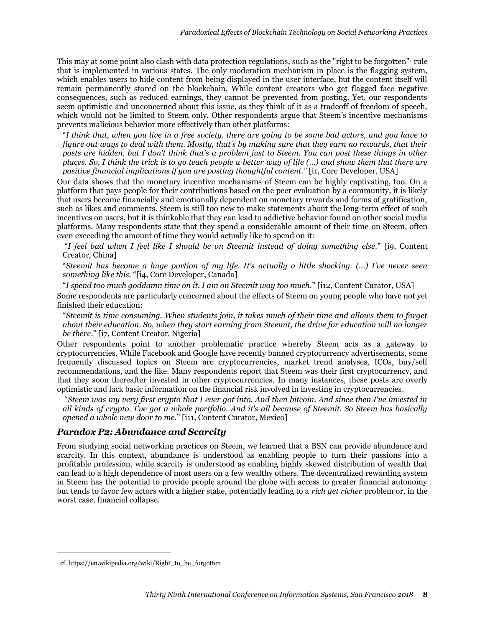This may at some point also clash with data protection regulations, such as the "right to be forgotten"<sup>1</sup> rule that is implemented in various states. The only moderation mechanism in place is the flagging system, which enables users to hide content from being displayed in the user interface, but the content itself will remain permanently stored on the blockchain. While content creators who get flagged face negative consequences, such as reduced earnings, they cannot be prevented from posting. Yet, our respondents seem optimistic and unconcerned about this issue, as they think of it as a tradeoff of freedom of speech, which would not be limited to Steem only. Other respondents argue that Steem's incentive mechanisms prevents malicious behavior more effectively than other platforms:

"*I think that, when you live in a free society, there are going to be some bad actors, and you have to figure out ways to deal with them. Mostly, that's by making sure that they earn no rewards, that their posts are hidden, but I don't think that's a problem just to Steem. You can post these things in other places. So, I think the trick is to go teach people a better way of life (...) and show them that there are positive financial implications if you are posting thoughtful content.*" [i1, Core Developer, USA]

Our data shows that the monetary incentive mechanisms of Steem can be highly captivating, too. On a platform that pays people for their contributions based on the peer evaluation by a community, it is likely that users become financially and emotionally dependent on monetary rewards and forms of gratification, such as likes and comments. Steem is still too new to make statements about the long-term effect of such incentives on users, but it is thinkable that they can lead to addictive behavior found on other social media platforms. Many respondents state that they spend a considerable amount of their time on Steem, often even exceeding the amount of time they would actually like to spend on it:

"*I feel bad when I feel like I should be on Steemit instead of doing something else.*" [i9, Content Creator, China]

"*Steemit has become a huge portion of my life. It's actually a little shocking. (...) I've never seen something like this.* "[i4, Core Developer, Canada]

"*I spend too much goddamn time on it. I am on Steemit way too much.*" [i12, Content Curator, USA]

Some respondents are particularly concerned about the effects of Steem on young people who have not yet finished their education:

"*Steemit is time consuming. When students join, it takes much of their time and allows them to forget about their education. So, when they start earning from Steemit, the drive for education will no longer be there.*" [i7, Content Creator, Nigeria]

Other respondents point to another problematic practice whereby Steem acts as a gateway to cryptocurrencies. While Facebook and Google have recently banned cryptocurrency advertisements, some frequently discussed topics on Steem are cryptocurrencies, market trend analyses, ICOs, buy/sell recommendations, and the like. Many respondents report that Steem was their first cryptocurrency, and that they soon thereafter invested in other cryptocurrencies. In many instances, these posts are overly optimistic and lack basic information on the financial risk involved in investing in cryptocurrencies.

"*Steem was my very first crypto that I ever got into. And then bitcoin. And since then I've invested in all kinds of crypto. I've got a whole portfolio. And it's all because of Steemit. So Steem has basically opened a whole new door to me.*" [i11, Content Curator, Mexico]

#### *Paradox P2: Abundance and Scarcity*

From studying social networking practices on Steem, we learned that a BSN can provide abundance and scarcity. In this context, abundance is understood as enabling people to turn their passions into a profitable profession, while scarcity is understood as enabling highly skewed distribution of wealth that can lead to a high dependence of most users on a few wealthy others. The decentralized rewarding system in Steem has the potential to provide people around the globe with access to greater financial autonomy but tends to favor few actors with a higher stake, potentially leading to a *rich get richer* problem or, in the worst case, financial collapse.

 $\overline{a}$ 

<sup>&</sup>lt;sup>1</sup> cf. https://en.wikipedia.org/wiki/Right\_to\_be\_forgotten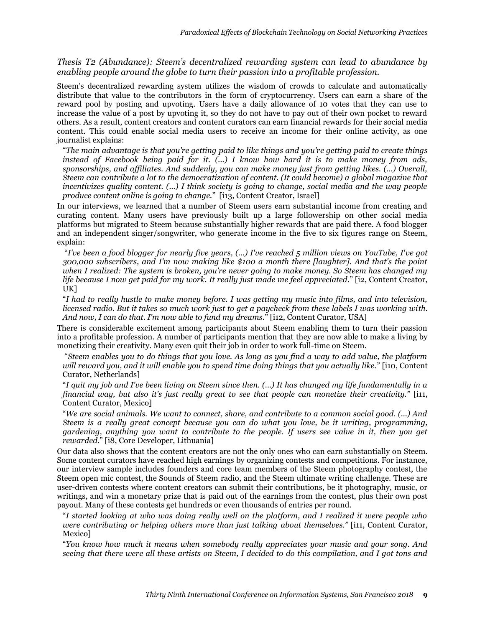*Thesis T2 (Abundance): Steem's decentralized rewarding system can lead to abundance by enabling people around the globe to turn their passion into a profitable profession.*

Steem's decentralized rewarding system utilizes the wisdom of crowds to calculate and automatically distribute that value to the contributors in the form of cryptocurrency. Users can earn a share of the reward pool by posting and upvoting. Users have a daily allowance of 10 votes that they can use to increase the value of a post by upvoting it, so they do not have to pay out of their own pocket to reward others. As a result, content creators and content curators can earn financial rewards for their social media content. This could enable social media users to receive an income for their online activity, as one journalist explains:

"*The main advantage is that you're getting paid to like things and you're getting paid to create things instead of Facebook being paid for it. (...) I know how hard it is to make money from ads, sponsorships, and affiliates. And suddenly, you can make money just from getting likes. (...) Overall, Steem can contribute a lot to the democratization of content. (It could become) a global magazine that incentivizes quality content. (...) I think society is going to change, social media and the way people produce content online is going to change.*" [i13, Content Creator, Israel]

In our interviews, we learned that a number of Steem users earn substantial income from creating and curating content. Many users have previously built up a large followership on other social media platforms but migrated to Steem because substantially higher rewards that are paid there. A food blogger and an independent singer/songwriter, who generate income in the five to six figures range on Steem, explain:

"*I've been a food blogger for nearly five years, (...) I've reached 5 million views on YouTube, I've got 300,000 subscribers, and I'm now making like \$100 a month there [laughter]. And that's the point when I realized: The system is broken, you're never going to make money. So Steem has changed my life because I now get paid for my work. It really just made me feel appreciated.*" [i2, Content Creator, UK]

"*I had to really hustle to make money before. I was getting my music into films, and into television, licensed radio. But it takes so much work just to get a paycheck from these labels I was working with. And now, I can do that. I'm now able to fund my dreams.*" [i12, Content Curator, USA]

There is considerable excitement among participants about Steem enabling them to turn their passion into a profitable profession. A number of participants mention that they are now able to make a living by monetizing their creativity. Many even quit their job in order to work full-time on Steem.

"*Steem enables you to do things that you love. As long as you find a way to add value, the platform will reward you, and it will enable you to spend time doing things that you actually like.*" [i10, Content Curator, Netherlands]

"*I quit my job and I've been living on Steem since then. (...) It has changed my life fundamentally in a financial way, but also it's just really great to see that people can monetize their creativity."* [i11, Content Curator, Mexico]

"*We are social animals. We want to connect, share, and contribute to a common social good. (...) And Steem is a really great concept because you can do what you love, be it writing, programming, gardening, anything you want to contribute to the people. If users see value in it, then you get rewarded.*" [i8, Core Developer, Lithuania]

Our data also shows that the content creators are not the only ones who can earn substantially on Steem. Some content curators have reached high earnings by organizing contests and competitions. For instance, our interview sample includes founders and core team members of the Steem photography contest, the Steem open mic contest, the Sounds of Steem radio, and the Steem ultimate writing challenge. These are user-driven contests where content creators can submit their contributions, be it photography, music, or writings, and win a monetary prize that is paid out of the earnings from the contest, plus their own post payout. Many of these contests get hundreds or even thousands of entries per round.

"*I started looking at who was doing really well on the platform, and I realized it were people who were contributing or helping others more than just talking about themselves."* [i11, Content Curator, Mexico]

"*You know how much it means when somebody really appreciates your music and your song. And seeing that there were all these artists on Steem, I decided to do this compilation, and I got tons and*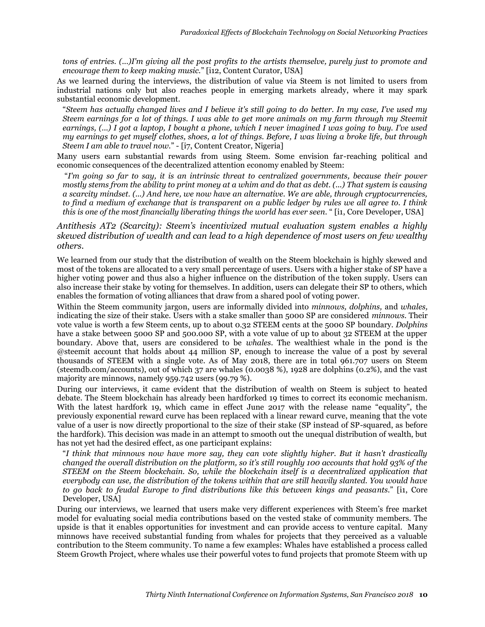*tons of entries. (...)I'm giving all the post profits to the artists themselve, purely just to promote and encourage them to keep making music.*" [i12, Content Curator, USA]

As we learned during the interviews, the distribution of value via Steem is not limited to users from industrial nations only but also reaches people in emerging markets already, where it may spark substantial economic development.

"*Steem has actually changed lives and I believe it's still going to do better. In my case, I've used my Steem earnings for a lot of things. I was able to get more animals on my farm through my Steemit earnings, (...) I got a laptop, I bought a phone, which I never imagined I was going to buy. I've used my earnings to get myself clothes, shoes, a lot of things. Before, I was living a broke life, but through Steem I am able to travel now.*" - [i7, Content Creator, Nigeria]

Many users earn substantial rewards from using Steem. Some envision far-reaching political and economic consequences of the decentralized attention economy enabled by Steem:

"*I'm going so far to say, it is an intrinsic threat to centralized governments, because their power mostly stems from the ability to print money at a whim and do that as debt. (...) That system is causing a scarcity mindset. (...) And here, we now have an alternative. We are able, through cryptocurrencies, to find a medium of exchange that is transparent on a public ledger by rules we all agree to. I think this is one of the most financially liberating things the world has ever seen.* " [i1, Core Developer, USA]

#### *Antithesis AT2 (Scarcity): Steem's incentivized mutual evaluation system enables a highly skewed distribution of wealth and can lead to a high dependence of most users on few wealthy others.*

We learned from our study that the distribution of wealth on the Steem blockchain is highly skewed and most of the tokens are allocated to a very small percentage of users. Users with a higher stake of SP have a higher voting power and thus also a higher influence on the distribution of the token supply. Users can also increase their stake by voting for themselves. In addition, users can delegate their SP to others, which enables the formation of voting alliances that draw from a shared pool of voting power.

Within the Steem community jargon, users are informally divided into *minnows, dolphins,* and *whales,*  indicating the size of their stake. Users with a stake smaller than 5000 SP are considered *minnows*. Their vote value is worth a few Steem cents, up to about 0.32 STEEM cents at the 5000 SP boundary. *Dolphins* have a stake between 5000 SP and 500.000 SP, with a vote value of up to about 32 STEEM at the upper boundary. Above that, users are considered to be *whales*. The wealthiest whale in the pond is the @steemit account that holds about 44 million SP, enough to increase the value of a post by several thousands of STEEM with a single vote. As of May 2018, there are in total 961.707 users on Steem (steemdb.com/accounts), out of which 37 are whales (0.0038 %), 1928 are dolphins (0.2%), and the vast majority are minnows, namely 959.742 users (99.79 %).

During our interviews, it came evident that the distribution of wealth on Steem is subject to heated debate. The Steem blockchain has already been hardforked 19 times to correct its economic mechanism. With the latest hardfork 19, which came in effect June 2017 with the release name "equality", the previously exponential reward curve has been replaced with a linear reward curve, meaning that the vote value of a user is now directly proportional to the size of their stake (SP instead of SP-squared, as before the hardfork). This decision was made in an attempt to smooth out the unequal distribution of wealth, but has not yet had the desired effect, as one participant explains:

"*I think that minnows now have more say, they can vote slightly higher. But it hasn't drastically changed the overall distribution on the platform, so it's still roughly 100 accounts that hold 93% of the STEEM on the Steem blockchain. So, while the blockchain itself is a decentralized application that everybody can use, the distribution of the tokens within that are still heavily slanted. You would have to go back to feudal Europe to find distributions like this between kings and peasants.*" [i1, Core Developer, USA]

During our interviews, we learned that users make very different experiences with Steem's free market model for evaluating social media contributions based on the vested stake of community members. The upside is that it enables opportunities for investment and can provide access to venture capital. Many minnows have received substantial funding from whales for projects that they perceived as a valuable contribution to the Steem community. To name a few examples: Whales have established a process called Steem Growth Project, where whales use their powerful votes to fund projects that promote Steem with up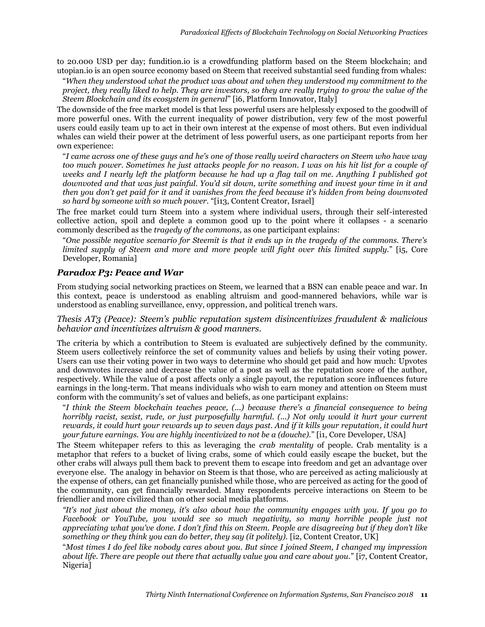to 20.000 USD per day; fundition.io is a crowdfunding platform based on the Steem blockchain; and utopian.io is an open source economy based on Steem that received substantial seed funding from whales:

"*When they understood what the product was about and when they understood my commitment to the project, they really liked to help. They are investors, so they are really trying to grow the value of the Steem Blockchain and its ecosystem in general*" [i6, Platform Innovator, Italy]

The downside of the free market model is that less powerful users are helplessly exposed to the goodwill of more powerful ones. With the current inequality of power distribution, very few of the most powerful users could easily team up to act in their own interest at the expense of most others. But even individual whales can wield their power at the detriment of less powerful users, as one participant reports from her own experience:

"*I came across one of these guys and he's one of those really weird characters on Steem who have way too much power. Sometimes he just attacks people for no reason. I was on his hit list for a couple of weeks and I nearly left the platform because he had up a flag tail on me. Anything I published got downvoted and that was just painful. You'd sit down, write something and invest your time in it and then you don't get paid for it and it vanishes from the feed because it's hidden from being downvoted so hard by someone with so much power.* "[i13, Content Creator, Israel]

The free market could turn Steem into a system where individual users, through their self-interested collective action, spoil and deplete a common good up to the point where it collapses - a scenario commonly described as the *tragedy of the commons,* as one participant explains:

"*One possible negative scenario for Steemit is that it ends up in the tragedy of the commons. There's limited supply of Steem and more and more people will fight over this limited supply.*" [i5, Core Developer, Romania]

#### *Paradox P3: Peace and War*

From studying social networking practices on Steem, we learned that a BSN can enable peace and war. In this context, peace is understood as enabling altruism and good-mannered behaviors, while war is understood as enabling surveillance, envy, oppression, and political trench wars.

#### *Thesis AT3 (Peace): Steem's public reputation system disincentivizes fraudulent & malicious behavior and incentivizes altruism & good manners.*

The criteria by which a contribution to Steem is evaluated are subjectively defined by the community. Steem users collectively reinforce the set of community values and beliefs by using their voting power. Users can use their voting power in two ways to determine who should get paid and how much: Upvotes and downvotes increase and decrease the value of a post as well as the reputation score of the author, respectively. While the value of a post affects only a single payout, the reputation score influences future earnings in the long-term. That means individuals who wish to earn money and attention on Steem must conform with the community's set of values and beliefs, as one participant explains:

"*I think the Steem blockchain teaches peace, (...) because there's a financial consequence to being horribly racist, sexist, rude, or just purposefully harmful. (...) Not only would it hurt your current rewards, it could hurt your rewards up to seven days past. And if it kills your reputation, it could hurt your future earnings. You are highly incentivized to not be a (douche).*" [i1, Core Developer, USA]

The Steem whitepaper refers to this as leveraging the *crab mentality* of people. Crab mentality is a metaphor that refers to a bucket of living crabs, some of which could easily escape the bucket, but the other crabs will always pull them back to prevent them to escape into freedom and get an advantage over everyone else. The analogy in behavior on Steem is that those, who are perceived as acting maliciously at the expense of others, can get financially punished while those, who are perceived as acting for the good of the community, can get financially rewarded. Many respondents perceive interactions on Steem to be friendlier and more civilized than on other social media platforms.

*"It's not just about the money, it's also about how the community engages with you. If you go to Facebook or YouTube, you would see so much negativity, so many horrible people just not appreciating what you've done. I don't find this on Steem. People are disagreeing but if they don't like something or they think you can do better, they say (it politely).* [i2, Content Creator, UK]

"*Most times I do feel like nobody cares about you. But since I joined Steem, I changed my impression about life. There are people out there that actually value you and care about you.*" [i7, Content Creator, Nigeria]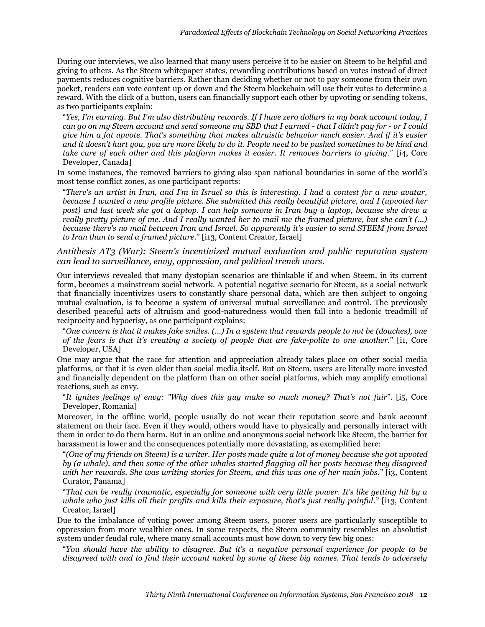During our interviews, we also learned that many users perceive it to be easier on Steem to be helpful and giving to others. As the Steem whitepaper states, rewarding contributions based on votes instead of direct payments reduces cognitive barriers. Rather than deciding whether or not to pay someone from their own pocket, readers can vote content up or down and the Steem blockchain will use their votes to determine a reward. With the click of a button, users can financially support each other by upvoting or sending tokens, as two participants explain:

"*Yes, I'm earning. But I'm also distributing rewards. If I have zero dollars in my bank account today, I can go on my Steem account and send someone my SBD that I earned - that I didn't pay for - or I could give him a fat upvote. That's something that makes altruistic behavior much easier. And if it's easier and it doesn't hurt you, you are more likely to do it. People need to be pushed sometimes to be kind and take care of each other and this platform makes it easier. It removes barriers to giving*." [i4, Core Developer, Canada]

In some instances, the removed barriers to giving also span national boundaries in some of the world's most tense conflict zones, as one participant reports:

"*There's an artist in Iran, and I'm in Israel so this is interesting. I had a contest for a new avatar, because I wanted a new profile picture. She submitted this really beautiful picture, and I (upvoted her post) and last week she got a laptop. I can help someone in Iran buy a laptop, because she drew a really pretty picture of me. And I really wanted her to mail me the framed picture, but she can't (...) because there's no mail between Iran and Israel. So apparently it's easier to send STEEM from Israel to Iran than to send a framed picture.*" [i13, Content Creator, Israel]

*Antithesis AT3 (War): Steem's incentivized mutual evaluation and public reputation system can lead to surveillance, envy, oppression, and political trench wars.* 

Our interviews revealed that many dystopian scenarios are thinkable if and when Steem, in its current form, becomes a mainstream social network. A potential negative scenario for Steem, as a social network that financially incentivizes users to constantly share personal data, which are then subject to ongoing mutual evaluation, is to become a system of universal mutual surveillance and control. The previously described peaceful acts of altruism and good-naturedness would then fall into a hedonic treadmill of reciprocity and hypocrisy, as one participant explains:

"*One concern is that it makes fake smiles. (...) In a system that rewards people to not be (douches), one of the fears is that it's creating a society of people that are fake-polite to one another.*" [i1, Core Developer, USA]

One may argue that the race for attention and appreciation already takes place on other social media platforms, or that it is even older than social media itself. But on Steem, users are literally more invested and financially dependent on the platform than on other social platforms, which may amplify emotional reactions, such as envy.

"*It ignites feelings of envy: "Why does this guy make so much money? That's not fair*". [i5, Core Developer, Romania]

Moreover, in the offline world, people usually do not wear their reputation score and bank account statement on their face. Even if they would, others would have to physically and personally interact with them in order to do them harm. But in an online and anonymous social network like Steem, the barrier for harassment is lower and the consequences potentially more devastating, as exemplified here:

"*(One of my friends on Steem) is a writer. Her posts made quite a lot of money because she got upvoted by (a whale), and then some of the other whales started flagging all her posts because they disagreed with her rewards. She was writing stories for Steem, and this was one of her main jobs.*" [i3, Content Curator, Panama]

"*That can be really traumatic, especially for someone with very little power. It's like getting hit by a whale who just kills all their profits and kills their exposure, that's just really painful.*" [i13, Content Creator, Israel]

Due to the imbalance of voting power among Steem users, poorer users are particularly susceptible to oppression from more wealthier ones. In some respects, the Steem community resembles an absolutist system under feudal rule, where many small accounts must bow down to very few big ones:

"*You should have the ability to disagree. But it's a negative personal experience for people to be disagreed with and to find their account nuked by some of these big names. That tends to adversely*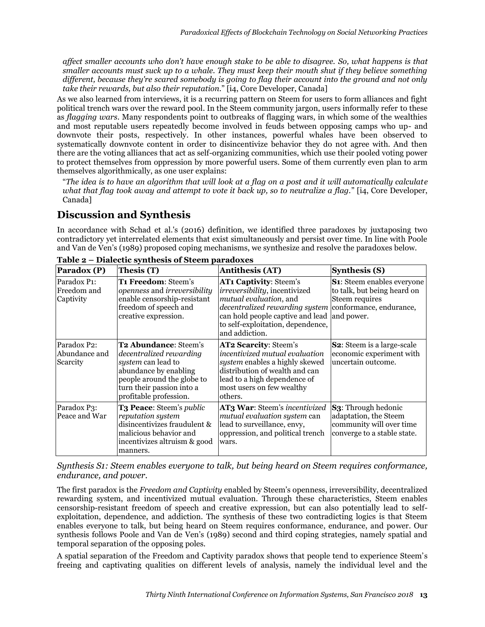*affect smaller accounts who don't have enough stake to be able to disagree. So, what happens is that smaller accounts must suck up to a whale. They must keep their mouth shut if they believe something different, because they're scared somebody is going to flag their account into the ground and not only take their rewards, but also their reputation.*" [i4, Core Developer, Canada]

As we also learned from interviews, it is a recurring pattern on Steem for users to form alliances and fight political trench wars over the reward pool. In the Steem community jargon, users informally refer to these as *flagging wars*. Many respondents point to outbreaks of flagging wars, in which some of the wealthies and most reputable users repeatedly become involved in feuds between opposing camps who up- and downvote their posts, respectively. In other instances, powerful whales have been observed to systematically downvote content in order to disincentivize behavior they do not agree with. And then there are the voting alliances that act as self-organizing communities, which use their pooled voting power to protect themselves from oppression by more powerful users. Some of them currently even plan to arm themselves algorithmically, as one user explains:

"*The idea is to have an algorithm that will look at a flag on a post and it will automatically calculate what that flag took away and attempt to vote it back up, so to neutralize a flag.*" [i4, Core Developer, Canada]

# **Discussion and Synthesis**

In accordance with Schad et al.'s (2016) definition, we identified three paradoxes by juxtaposing two contradictory yet interrelated elements that exist simultaneously and persist over time. In line with Poole and Van de Ven's (1989) proposed coping mechanisms, we synthesize and resolve the paradoxes below.

| Paradox (P)                              | Thesis (T)                                                                                                                                                                           | <b>Antithesis (AT)</b>                                                                                                                                                                                                        | <b>Synthesis (S)</b>                                                                                                        |
|------------------------------------------|--------------------------------------------------------------------------------------------------------------------------------------------------------------------------------------|-------------------------------------------------------------------------------------------------------------------------------------------------------------------------------------------------------------------------------|-----------------------------------------------------------------------------------------------------------------------------|
| Paradox P1:<br>Freedom and<br>Captivity  | T1 Freedom: Steem's<br>openness and <i>irreversibility</i><br>enable censorship-resistant<br>freedom of speech and<br>creative expression.                                           | <b>AT1 Captivity: Steem's</b><br><i>irreversibility</i> , incentivized<br>mutual evaluation, and<br>decentralized rewarding system<br>can hold people captive and lead<br>to self-exploitation, dependence,<br>and addiction. | <b>S1:</b> Steem enables everyone<br>to talk, but being heard on<br>Steem requires<br>conformance, endurance,<br>and power. |
| Paradox P2:<br>Abundance and<br>Scarcity | T2 Abundance: Steem's<br>decentralized rewarding<br>system can lead to<br>abundance by enabling<br>people around the globe to<br>turn their passion into a<br>profitable profession. | <b>AT2 Scarcity: Steem's</b><br>incentivized mutual evaluation<br>system enables a highly skewed<br>distribution of wealth and can<br>lead to a high dependence of<br>most users on few wealthy<br>others.                    | S2: Steem is a large-scale<br>economic experiment with<br>uncertain outcome.                                                |
| Paradox P3:<br>Peace and War             | T3 Peace: Steem's public<br>reputation system<br>disincentivizes fraudulent &<br>malicious behavior and<br>incentivizes altruism & good<br>manners.                                  | AT3 War: Steem's incentivized<br>mutual evaluation system can<br>lead to surveillance, envy,<br>oppression, and political trench<br>wars.                                                                                     | <b>S3:</b> Through hedonic<br>adaptation, the Steem<br>community will over time<br>converge to a stable state.              |

|--|

*Synthesis S1: Steem enables everyone to talk, but being heard on Steem requires conformance, endurance, and power.*

The first paradox is the *Freedom and Captivity* enabled by Steem's openness, irreversibility, decentralized rewarding system, and incentivized mutual evaluation. Through these characteristics, Steem enables censorship-resistant freedom of speech and creative expression, but can also potentially lead to selfexploitation, dependence, and addiction. The synthesis of these two contradicting logics is that Steem enables everyone to talk, but being heard on Steem requires conformance, endurance, and power. Our synthesis follows Poole and Van de Ven's (1989) second and third coping strategies, namely spatial and temporal separation of the opposing poles.

A spatial separation of the Freedom and Captivity paradox shows that people tend to experience Steem's freeing and captivating qualities on different levels of analysis, namely the individual level and the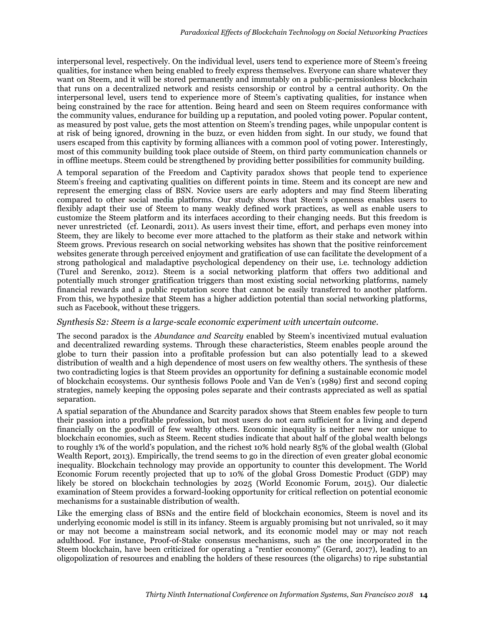interpersonal level, respectively. On the individual level, users tend to experience more of Steem's freeing qualities, for instance when being enabled to freely express themselves. Everyone can share whatever they want on Steem, and it will be stored permanently and immutably on a public-permissionless blockchain that runs on a decentralized network and resists censorship or control by a central authority. On the interpersonal level, users tend to experience more of Steem's captivating qualities, for instance when being constrained by the race for attention. Being heard and seen on Steem requires conformance with the community values, endurance for building up a reputation, and pooled voting power. Popular content, as measured by post value, gets the most attention on Steem's trending pages, while unpopular content is at risk of being ignored, drowning in the buzz, or even hidden from sight. In our study, we found that users escaped from this captivity by forming alliances with a common pool of voting power. Interestingly, most of this community building took place outside of Steem, on third party communication channels or in offline meetups. Steem could be strengthened by providing better possibilities for community building.

A temporal separation of the Freedom and Captivity paradox shows that people tend to experience Steem's freeing and captivating qualities on different points in time. Steem and its concept are new and represent the emerging class of BSN. Novice users are early adopters and may find Steem liberating compared to other social media platforms. Our study shows that Steem's openness enables users to flexibly adapt their use of Steem to many weakly defined work practices, as well as enable users to customize the Steem platform and its interfaces according to their changing needs. But this freedom is never unrestricted (cf. Leonardi, 2011). As users invest their time, effort, and perhaps even money into Steem, they are likely to become ever more attached to the platform as their stake and network within Steem grows. Previous research on social networking websites has shown that the positive reinforcement websites generate through perceived enjoyment and gratification of use can facilitate the development of a strong pathological and maladaptive psychological dependency on their use, i.e. technology addiction (Turel and Serenko, 2012). Steem is a social networking platform that offers two additional and potentially much stronger gratification triggers than most existing social networking platforms, namely financial rewards and a public reputation score that cannot be easily transferred to another platform. From this, we hypothesize that Steem has a higher addiction potential than social networking platforms, such as Facebook, without these triggers.

#### *Synthesis S2: Steem is a large-scale economic experiment with uncertain outcome.*

The second paradox is the *Abundance and Scarcity* enabled by Steem's incentivized mutual evaluation and decentralized rewarding systems. Through these characteristics, Steem enables people around the globe to turn their passion into a profitable profession but can also potentially lead to a skewed distribution of wealth and a high dependence of most users on few wealthy others. The synthesis of these two contradicting logics is that Steem provides an opportunity for defining a sustainable economic model of blockchain ecosystems. Our synthesis follows Poole and Van de Ven's (1989) first and second coping strategies, namely keeping the opposing poles separate and their contrasts appreciated as well as spatial separation.

A spatial separation of the Abundance and Scarcity paradox shows that Steem enables few people to turn their passion into a profitable profession, but most users do not earn sufficient for a living and depend financially on the goodwill of few wealthy others. Economic inequality is neither new nor unique to blockchain economies, such as Steem. Recent studies indicate that about half of the global wealth belongs to roughly 1% of the world's population, and the richest 10% hold nearly 85% of the global wealth (Global Wealth Report, 2013). Empirically, the trend seems to go in the direction of even greater global economic inequality. Blockchain technology may provide an opportunity to counter this development. The World Economic Forum recently projected that up to 10% of the global Gross Domestic Product (GDP) may likely be stored on blockchain technologies by 2025 (World Economic Forum, 2015). Our dialectic examination of Steem provides a forward-looking opportunity for critical reflection on potential economic mechanisms for a sustainable distribution of wealth.

Like the emerging class of BSNs and the entire field of blockchain economics, Steem is novel and its underlying economic model is still in its infancy. Steem is arguably promising but not unrivaled, so it may or may not become a mainstream social network, and its economic model may or may not reach adulthood. For instance, Proof-of-Stake consensus mechanisms, such as the one incorporated in the Steem blockchain, have been criticized for operating a "rentier economy" (Gerard, 2017), leading to an oligopolization of resources and enabling the holders of these resources (the oligarchs) to ripe substantial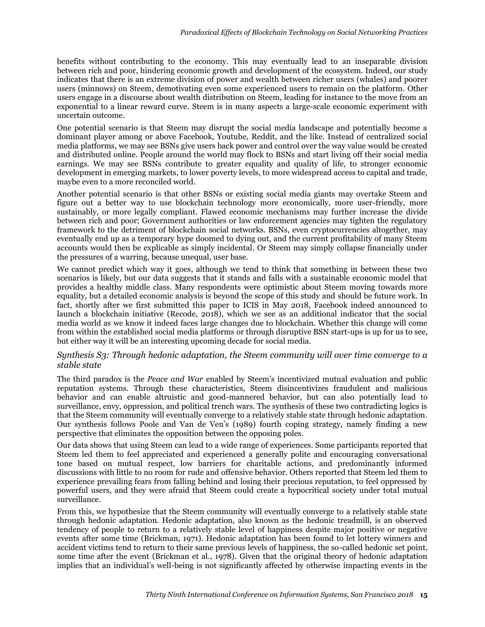benefits without contributing to the economy. This may eventually lead to an inseparable division between rich and poor, hindering economic growth and development of the ecosystem. Indeed, our study indicates that there is an extreme division of power and wealth between richer users (whales) and poorer users (minnows) on Steem, demotivating even some experienced users to remain on the platform. Other users engage in a discourse about wealth distribution on Steem, leading for instance to the move from an exponential to a linear reward curve. Steem is in many aspects a large-scale economic experiment with uncertain outcome.

One potential scenario is that Steem may disrupt the social media landscape and potentially become a dominant player among or above Facebook, Youtube, Reddit, and the like. Instead of centralized social media platforms, we may see BSNs give users back power and control over the way value would be created and distributed online. People around the world may flock to BSNs and start living off their social media earnings. We may see BSNs contribute to greater equality and quality of life, to stronger economic development in emerging markets, to lower poverty levels, to more widespread access to capital and trade, maybe even to a more reconciled world.

Another potential scenario is that other BSNs or existing social media giants may overtake Steem and figure out a better way to use blockchain technology more economically, more user-friendly, more sustainably, or more legally compliant. Flawed economic mechanisms may further increase the divide between rich and poor; Government authorities or law enforcement agencies may tighten the regulatory framework to the detriment of blockchain social networks. BSNs, even cryptocurrencies altogether, may eventually end up as a temporary hype doomed to dying out, and the current profitability of many Steem accounts would then be explicable as simply incidental. Or Steem may simply collapse financially under the pressures of a warring, because unequal, user base.

We cannot predict which way it goes, although we tend to think that something in between these two scenarios is likely, but our data suggests that it stands and falls with a sustainable economic model that provides a healthy middle class. Many respondents were optimistic about Steem moving towards more equality, but a detailed economic analysis is beyond the scope of this study and should be future work. In fact, shortly after we first submitted this paper to ICIS in May 2018, Facebook indeed announced to launch a blockchain initiative (Recode, 2018), which we see as an additional indicator that the social media world as we know it indeed faces large changes due to blockchain. Whether this change will come from within the established social media platforms or through disruptive BSN start-ups is up for us to see, but either way it will be an interesting upcoming decade for social media.

#### *Synthesis S3: Through hedonic adaptation, the Steem community will over time converge to a stable state*

The third paradox is the *Peace and War* enabled by Steem's incentivized mutual evaluation and public reputation systems. Through these characteristics, Steem disincentivizes fraudulent and malicious behavior and can enable altruistic and good-mannered behavior, but can also potentially lead to surveillance, envy, oppression, and political trench wars. The synthesis of these two contradicting logics is that the Steem community will eventually converge to a relatively stable state through hedonic adaptation. Our synthesis follows Poole and Van de Ven's (1989) fourth coping strategy, namely finding a new perspective that eliminates the opposition between the opposing poles.

Our data shows that using Steem can lead to a wide range of experiences. Some participants reported that Steem led them to feel appreciated and experienced a generally polite and encouraging conversational tone based on mutual respect, low barriers for charitable actions, and predominantly informed discussions with little to no room for rude and offensive behavior. Others reported that Steem led them to experience prevailing fears from falling behind and losing their precious reputation, to feel oppressed by powerful users, and they were afraid that Steem could create a hypocritical society under total mutual surveillance.

From this, we hypothesize that the Steem community will eventually converge to a relatively stable state through hedonic adaptation. Hedonic adaptation, also known as the hedonic treadmill, is an observed tendency of people to return to a relatively stable level of happiness despite major positive or negative events after some time (Brickman, 1971). Hedonic adaptation has been found to let lottery winners and accident victims tend to return to their same previous levels of happiness, the so-called hedonic set point, some time after the event (Brickman et al., 1978). Given that the original theory of hedonic adaptation implies that an individual's well-being is not significantly affected by otherwise impacting events in the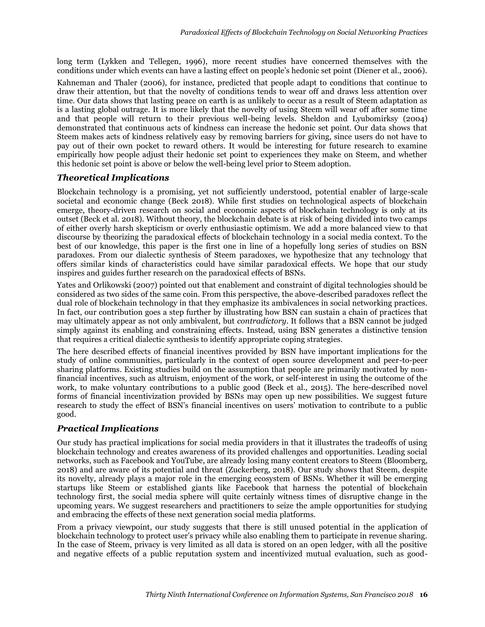long term (Lykken and Tellegen, 1996), more recent studies have concerned themselves with the conditions under which events can have a lasting effect on people's hedonic set point (Diener et al., 2006).

Kahneman and Thaler (2006), for instance, predicted that people adapt to conditions that continue to draw their attention, but that the novelty of conditions tends to wear off and draws less attention over time. Our data shows that lasting peace on earth is as unlikely to occur as a result of Steem adaptation as is a lasting global outrage. It is more likely that the novelty of using Steem will wear off after some time and that people will return to their previous well-being levels. Sheldon and Lyubomirksy (2004) demonstrated that continuous acts of kindness can increase the hedonic set point. Our data shows that Steem makes acts of kindness relatively easy by removing barriers for giving, since users do not have to pay out of their own pocket to reward others. It would be interesting for future research to examine empirically how people adjust their hedonic set point to experiences they make on Steem, and whether this hedonic set point is above or below the well-being level prior to Steem adoption.

#### *Theoretical Implications*

Blockchain technology is a promising, yet not sufficiently understood, potential enabler of large-scale societal and economic change (Beck 2018). While first studies on technological aspects of blockchain emerge, theory-driven research on social and economic aspects of blockchain technology is only at its outset (Beck et al. 2018). Without theory, the blockchain debate is at risk of being divided into two camps of either overly harsh skepticism or overly enthusiastic optimism. We add a more balanced view to that discourse by theorizing the paradoxical effects of blockchain technology in a social media context. To the best of our knowledge, this paper is the first one in line of a hopefully long series of studies on BSN paradoxes. From our dialectic synthesis of Steem paradoxes, we hypothesize that any technology that offers similar kinds of characteristics could have similar paradoxical effects. We hope that our study inspires and guides further research on the paradoxical effects of BSNs.

Yates and Orlikowski (2007) pointed out that enablement and constraint of digital technologies should be considered as two sides of the same coin. From this perspective, the above-described paradoxes reflect the dual role of blockchain technology in that they emphasize its ambivalences in social networking practices. In fact, our contribution goes a step further by illustrating how BSN can sustain a chain of practices that may ultimately appear as not only ambivalent, but *contradictory*. It follows that a BSN cannot be judged simply against its enabling and constraining effects. Instead, using BSN generates a distinctive tension that requires a critical dialectic synthesis to identify appropriate coping strategies.

The here described effects of financial incentives provided by BSN have important implications for the study of online communities, particularly in the context of open source development and peer-to-peer sharing platforms. Existing studies build on the assumption that people are primarily motivated by nonfinancial incentives, such as altruism, enjoyment of the work, or self-interest in using the outcome of the work, to make voluntary contributions to a public good (Beck et al., 2015). The here-described novel forms of financial incentivization provided by BSNs may open up new possibilities. We suggest future research to study the effect of BSN's financial incentives on users' motivation to contribute to a public good.

## *Practical Implications*

Our study has practical implications for social media providers in that it illustrates the tradeoffs of using blockchain technology and creates awareness of its provided challenges and opportunities. Leading social networks, such as Facebook and YouTube, are already losing many content creators to Steem (Bloomberg, 2018) and are aware of its potential and threat (Zuckerberg, 2018). Our study shows that Steem, despite its novelty, already plays a major role in the emerging ecosystem of BSNs. Whether it will be emerging startups like Steem or established giants like Facebook that harness the potential of blockchain technology first, the social media sphere will quite certainly witness times of disruptive change in the upcoming years. We suggest researchers and practitioners to seize the ample opportunities for studying and embracing the effects of these next generation social media platforms.

From a privacy viewpoint, our study suggests that there is still unused potential in the application of blockchain technology to protect user's privacy while also enabling them to participate in revenue sharing. In the case of Steem, privacy is very limited as all data is stored on an open ledger, with all the positive and negative effects of a public reputation system and incentivized mutual evaluation, such as good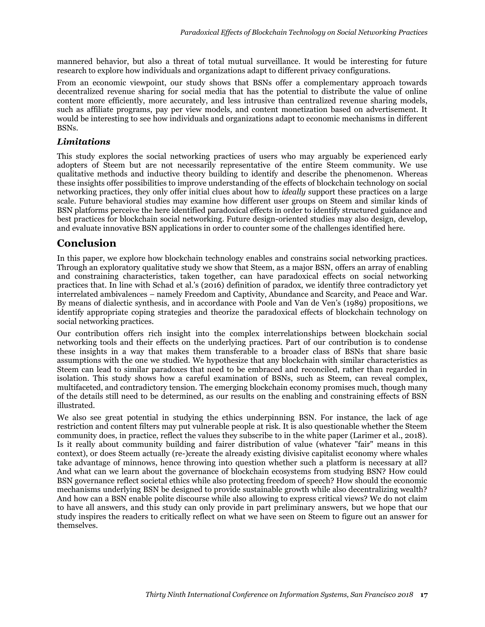mannered behavior, but also a threat of total mutual surveillance. It would be interesting for future research to explore how individuals and organizations adapt to different privacy configurations.

From an economic viewpoint, our study shows that BSNs offer a complementary approach towards decentralized revenue sharing for social media that has the potential to distribute the value of online content more efficiently, more accurately, and less intrusive than centralized revenue sharing models, such as affiliate programs, pay per view models, and content monetization based on advertisement. It would be interesting to see how individuals and organizations adapt to economic mechanisms in different BSNs.

#### *Limitations*

This study explores the social networking practices of users who may arguably be experienced early adopters of Steem but are not necessarily representative of the entire Steem community. We use qualitative methods and inductive theory building to identify and describe the phenomenon. Whereas these insights offer possibilities to improve understanding of the effects of blockchain technology on social networking practices, they only offer initial clues about how to *ideally* support these practices on a large scale. Future behavioral studies may examine how different user groups on Steem and similar kinds of BSN platforms perceive the here identified paradoxical effects in order to identify structured guidance and best practices for blockchain social networking. Future design-oriented studies may also design, develop, and evaluate innovative BSN applications in order to counter some of the challenges identified here.

# **Conclusion**

In this paper, we explore how blockchain technology enables and constrains social networking practices. Through an exploratory qualitative study we show that Steem, as a major BSN, offers an array of enabling and constraining characteristics, taken together, can have paradoxical effects on social networking practices that. In line with Schad et al.'s (2016) definition of paradox, we identify three contradictory yet interrelated ambivalences – namely Freedom and Captivity, Abundance and Scarcity, and Peace and War. By means of dialectic synthesis, and in accordance with Poole and Van de Ven's (1989) propositions, we identify appropriate coping strategies and theorize the paradoxical effects of blockchain technology on social networking practices.

Our contribution offers rich insight into the complex interrelationships between blockchain social networking tools and their effects on the underlying practices. Part of our contribution is to condense these insights in a way that makes them transferable to a broader class of BSNs that share basic assumptions with the one we studied. We hypothesize that any blockchain with similar characteristics as Steem can lead to similar paradoxes that need to be embraced and reconciled, rather than regarded in isolation. This study shows how a careful examination of BSNs, such as Steem, can reveal complex, multifaceted, and contradictory tension. The emerging blockchain economy promises much, though many of the details still need to be determined, as our results on the enabling and constraining effects of BSN illustrated.

We also see great potential in studying the ethics underpinning BSN. For instance, the lack of age restriction and content filters may put vulnerable people at risk. It is also questionable whether the Steem community does, in practice, reflect the values they subscribe to in the white paper (Larimer et al., 2018). Is it really about community building and fairer distribution of value (whatever "fair" means in this context), or does Steem actually (re-)create the already existing divisive capitalist economy where whales take advantage of minnows, hence throwing into question whether such a platform is necessary at all? And what can we learn about the governance of blockchain ecosystems from studying BSN? How could BSN governance reflect societal ethics while also protecting freedom of speech? How should the economic mechanisms underlying BSN be designed to provide sustainable growth while also decentralizing wealth? And how can a BSN enable polite discourse while also allowing to express critical views? We do not claim to have all answers, and this study can only provide in part preliminary answers, but we hope that our study inspires the readers to critically reflect on what we have seen on Steem to figure out an answer for themselves.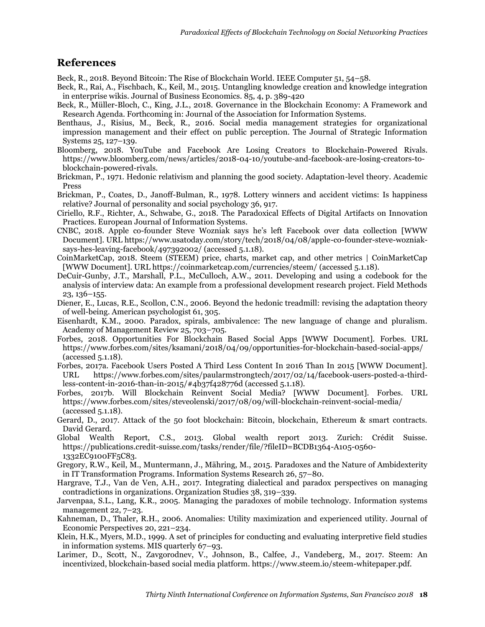## **References**

Beck, R., 2018. Beyond Bitcoin: The Rise of Blockchain World. IEEE Computer 51, 54–58.

- Beck, R., Rai, A., Fischbach, K., Keil, M., 2015. Untangling knowledge creation and knowledge integration in enterprise wikis. Journal of Business Economics. 85, 4, p. 389-420
- Beck, R., Müller-Bloch, C., King, J.L., 2018. Governance in the Blockchain Economy: A Framework and Research Agenda. Forthcoming in: Journal of the Association for Information Systems.
- Benthaus, J., Risius, M., Beck, R., 2016. Social media management strategies for organizational impression management and their effect on public perception. The Journal of Strategic Information Systems 25, 127–139.
- Bloomberg, 2018. YouTube and Facebook Are Losing Creators to Blockchain-Powered Rivals. https://www.bloomberg.com/news/articles/2018-04-10/youtube-and-facebook-are-losing-creators-toblockchain-powered-rivals.
- Brickman, P., 1971. Hedonic relativism and planning the good society. Adaptation-level theory. Academic Press
- Brickman, P., Coates, D., Janoff-Bulman, R., 1978. Lottery winners and accident victims: Is happiness relative? Journal of personality and social psychology 36, 917.
- Ciriello, R.F., Richter, A., Schwabe, G., 2018. The Paradoxical Effects of Digital Artifacts on Innovation Practices. European Journal of Information Systems.
- CNBC, 2018. Apple co-founder Steve Wozniak says he's left Facebook over data collection [WWW Document]. URL https://www.usatoday.com/story/tech/2018/04/08/apple-co-founder-steve-wozniaksays-hes-leaving-facebook/497392002/ (accessed 5.1.18).
- CoinMarketCap, 2018. Steem (STEEM) price, charts, market cap, and other metrics | CoinMarketCap [WWW Document]. URL https://coinmarketcap.com/currencies/steem/ (accessed 5.1.18).
- DeCuir-Gunby, J.T., Marshall, P.L., McCulloch, A.W., 2011. Developing and using a codebook for the analysis of interview data: An example from a professional development research project. Field Methods 23, 136–155.
- Diener, E., Lucas, R.E., Scollon, C.N., 2006. Beyond the hedonic treadmill: revising the adaptation theory of well-being. American psychologist 61, 305.
- Eisenhardt, K.M., 2000. Paradox, spirals, ambivalence: The new language of change and pluralism. Academy of Management Review 25, 703–705.
- Forbes, 2018. Opportunities For Blockchain Based Social Apps [WWW Document]. Forbes. URL https://www.forbes.com/sites/ksamani/2018/04/09/opportunities-for-blockchain-based-social-apps/ (accessed 5.1.18).
- Forbes, 2017a. Facebook Users Posted A Third Less Content In 2016 Than In 2015 [WWW Document]. URL https://www.forbes.com/sites/paularmstrongtech/2017/02/14/facebook-users-posted-a-thirdless-content-in-2016-than-in-2015/#4b37f428776d (accessed 5.1.18).
- Forbes, 2017b. Will Blockchain Reinvent Social Media? [WWW Document]. Forbes. URL https://www.forbes.com/sites/steveolenski/2017/08/09/will-blockchain-reinvent-social-media/ (accessed 5.1.18).
- Gerard, D., 2017. Attack of the 50 foot blockchain: Bitcoin, blockchain, Ethereum & smart contracts. David Gerard.
- Global Wealth Report, C.S., 2013. Global wealth report 2013. Zurich: Crédit Suisse. https://publications.credit-suisse.com/tasks/render/file/?fileID=BCDB1364-A105-0560- 1332EC9100FF5C83.
- Gregory, R.W., Keil, M., Muntermann, J., Mähring, M., 2015. Paradoxes and the Nature of Ambidexterity in IT Transformation Programs. Information Systems Research 26, 57–80.
- Hargrave, T.J., Van de Ven, A.H., 2017. Integrating dialectical and paradox perspectives on managing contradictions in organizations. Organization Studies 38, 319–339.
- Jarvenpaa, S.L., Lang, K.R., 2005. Managing the paradoxes of mobile technology. Information systems management 22, 7–23.
- Kahneman, D., Thaler, R.H., 2006. Anomalies: Utility maximization and experienced utility. Journal of Economic Perspectives 20, 221–234.
- Klein, H.K., Myers, M.D., 1999. A set of principles for conducting and evaluating interpretive field studies in information systems. MIS quarterly 67–93.
- Larimer, D., Scott, N., Zavgorodnev, V., Johnson, B., Calfee, J., Vandeberg, M., 2017. Steem: An incentivized, blockchain-based social media platform. https://www.steem.io/steem-whitepaper.pdf.